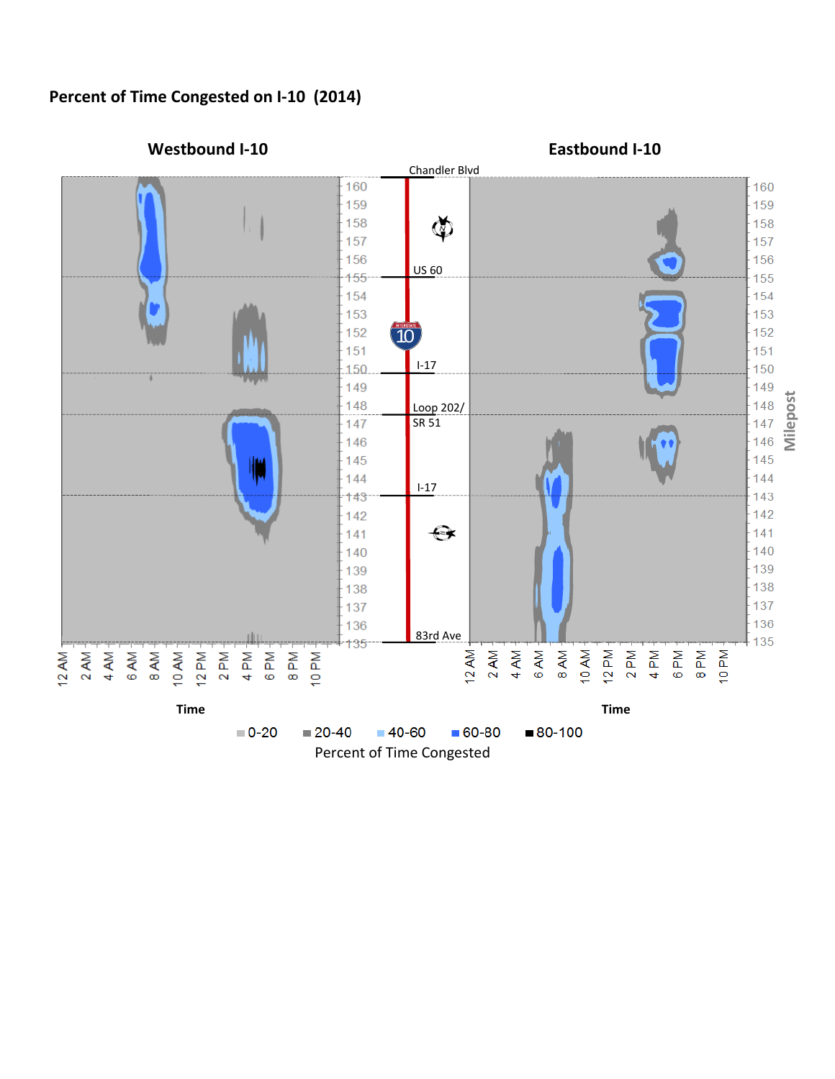## **Percent of Time Congested on I-10 (2014)**

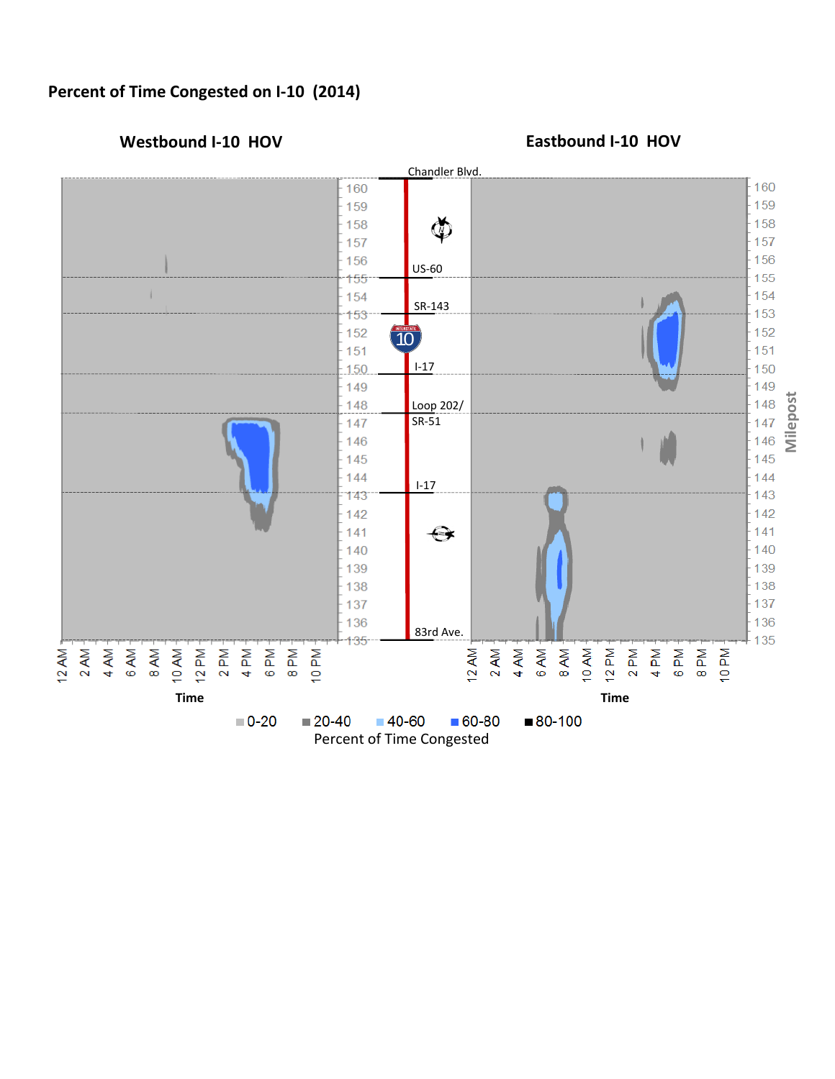# **Percent of Time Congested on I-10 (2014)**



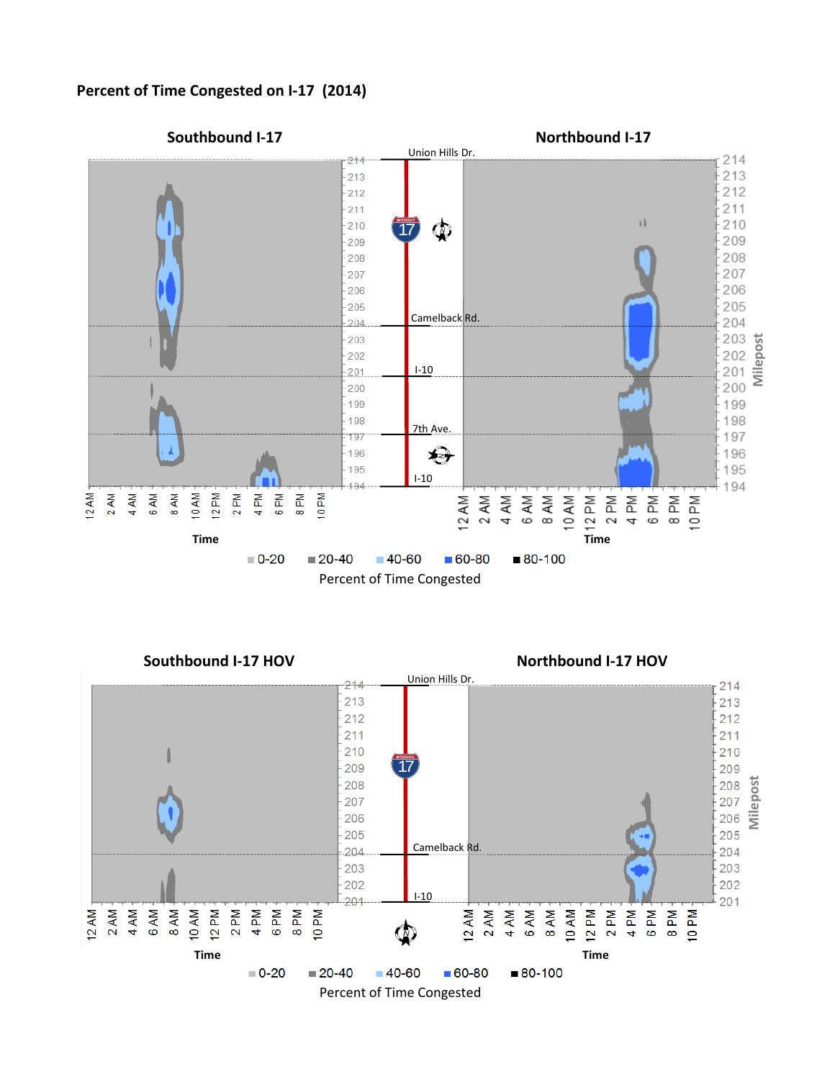

#### **Percent of Time Congested on I-17 (2014)**



**Southbound I-17 HOV Northbound I-17 HOV**

214 213

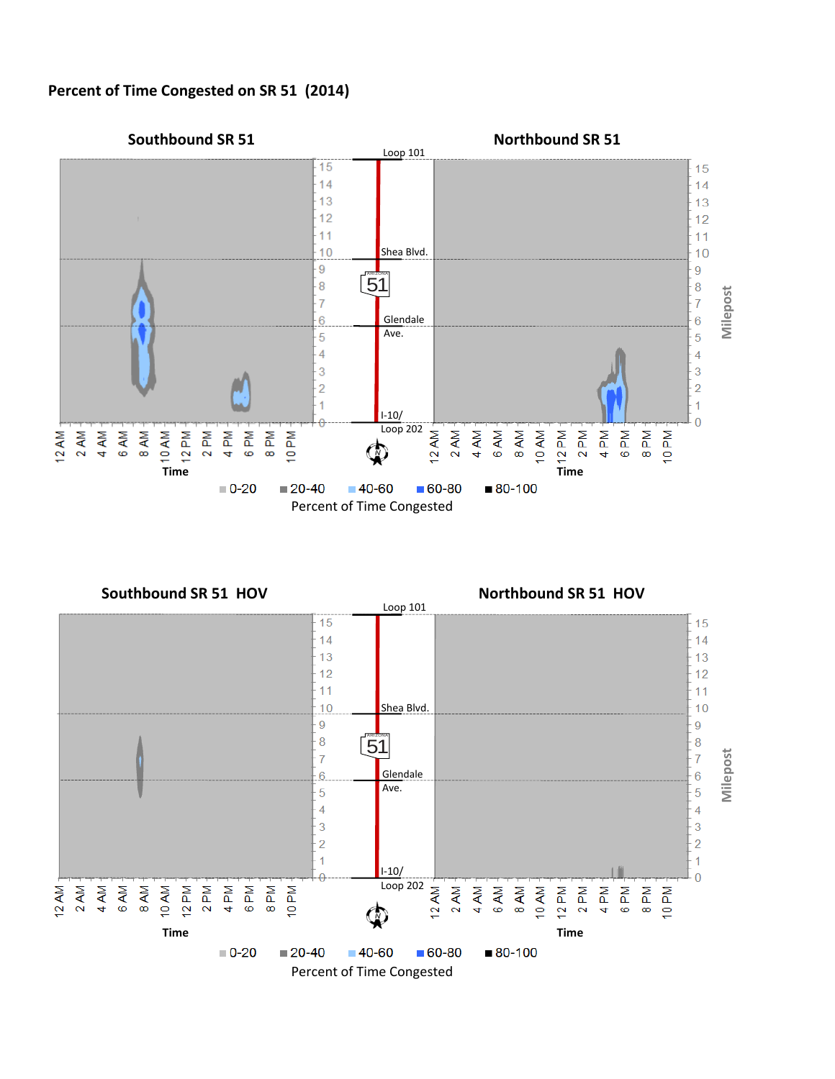### **Percent of Time Congested on SR 51 (2014)**



**Southbound SR 51 HOV Northbound SR 51 HOV**

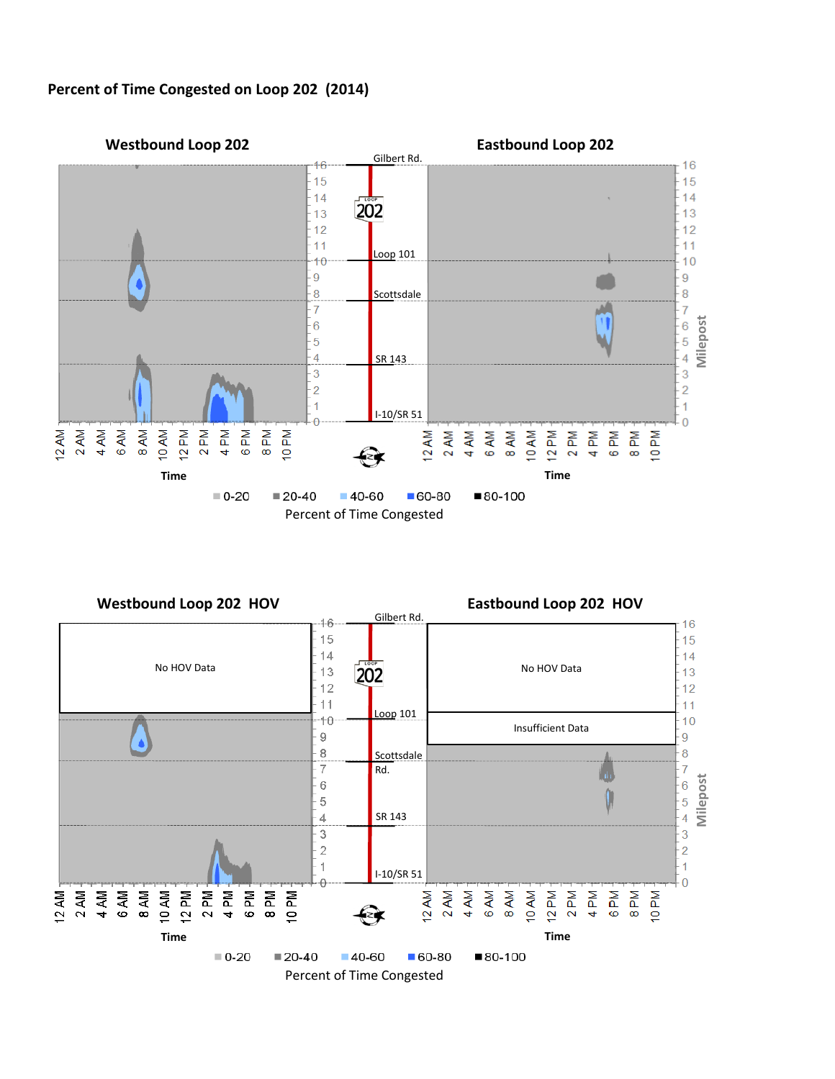

#### **Percent of Time Congested on Loop 202 (2014)**

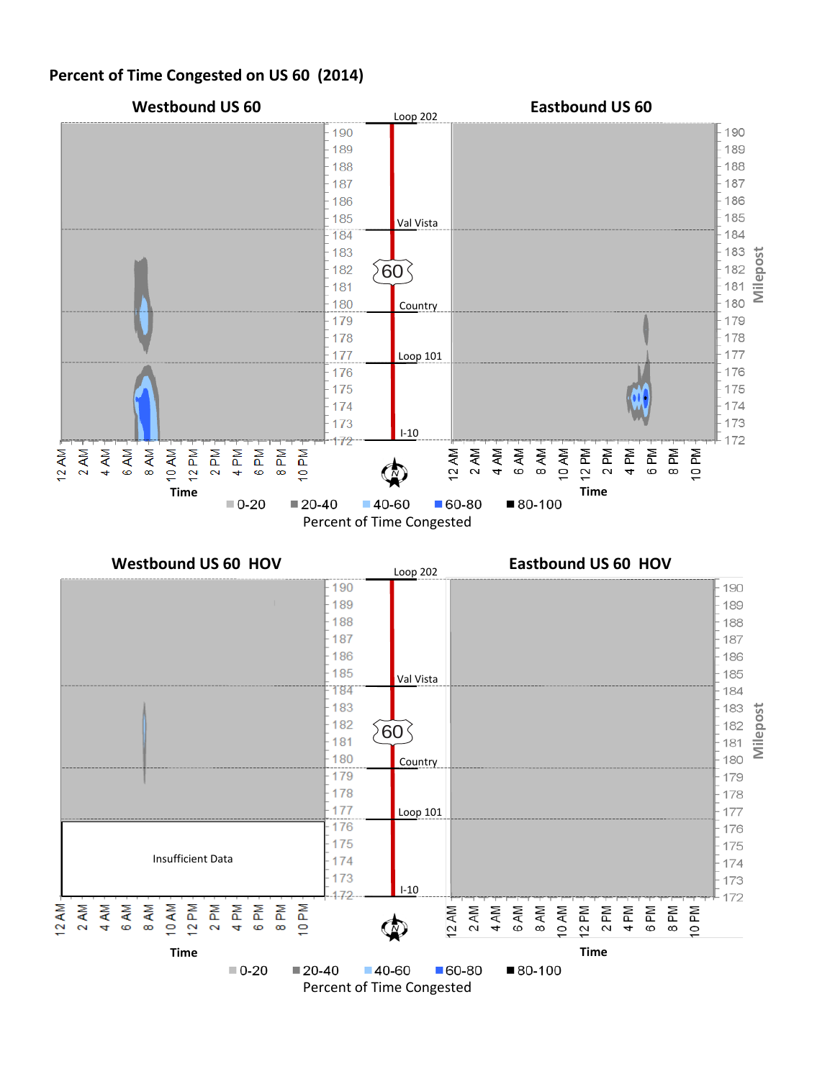## **Percent of Time Congested on US 60 (2014)**



Percent of Time Congested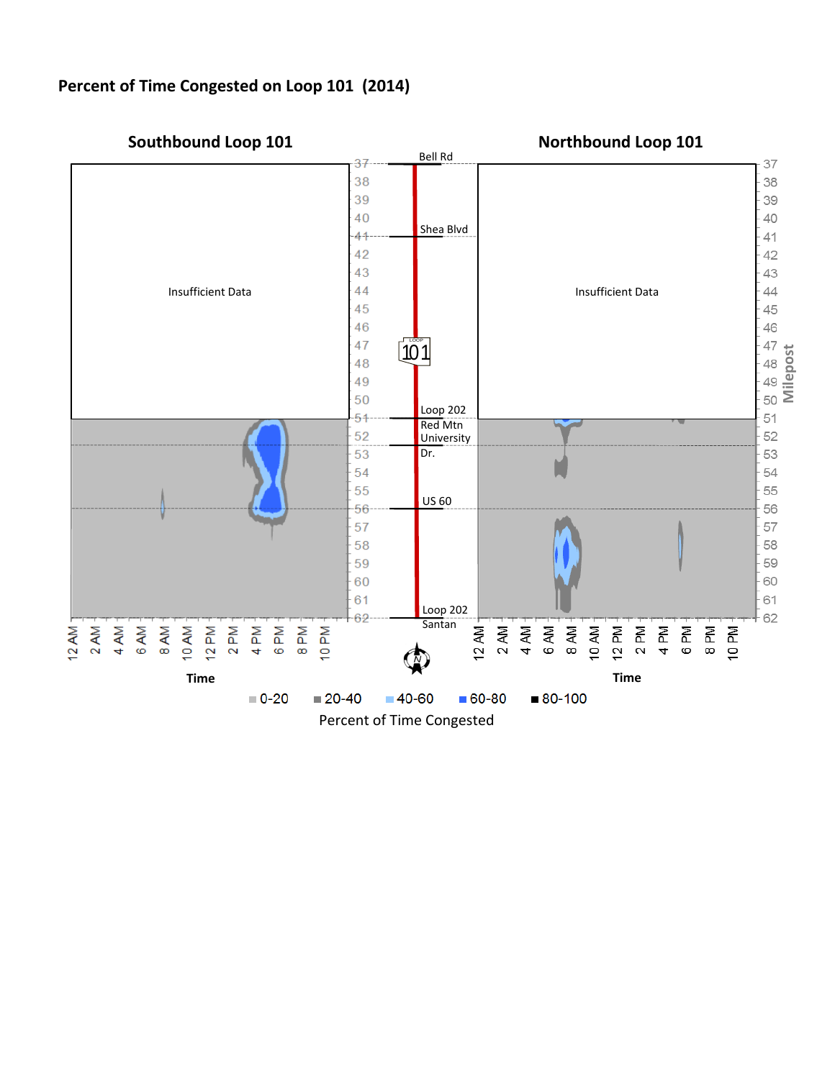# **Percent of Time Congested on Loop 101 (2014)**

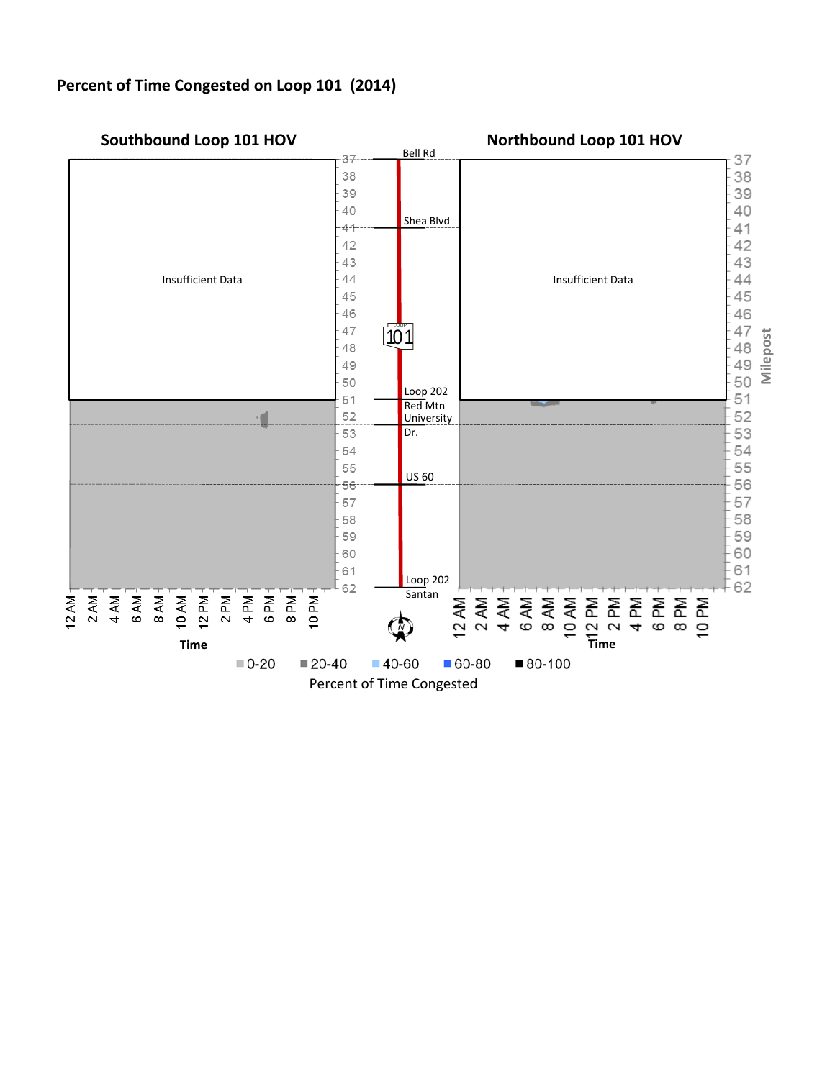## **Percent of Time Congested on Loop 101 (2014)**